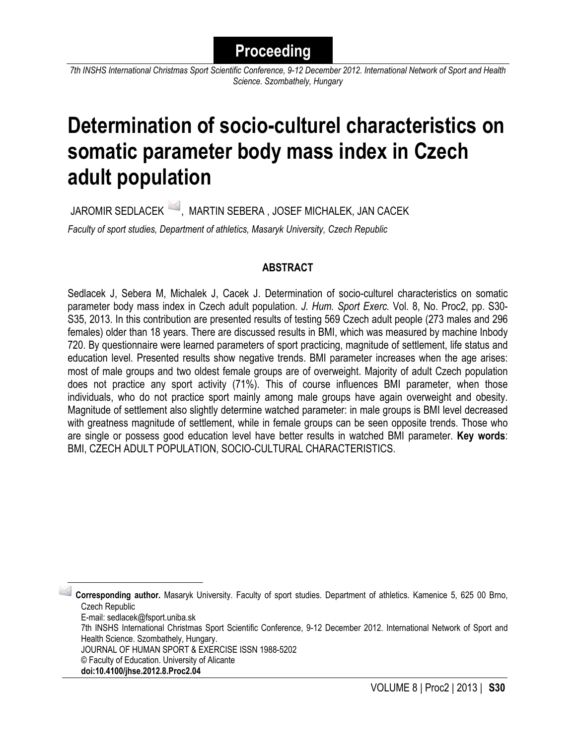*7th INSHS International Christmas Sport Scientific Conference, 9-12 December 2012. International Network of Sport and Health Science. Szombathely, Hungary*

# **Determination of socio-culturel characteristics on somatic parameter body mass index in Czech adult population**

JAROMIR SEDLACEK <sup>26</sup>, MARTIN SEBERA , JOSEF MICHALEK, JAN CACEK *Faculty of sport studies, Department of athletics, Masaryk University, Czech Republic*

# **ABSTRACT**

Sedlacek J, Sebera M, Michalek J, Cacek J. Determination of socio-culturel characteristics on somatic parameter body mass index in Czech adult population. *J. Hum. Sport Exerc.* Vol. 8, No. Proc2, pp. S30- S35, 2013. In this contribution are presented results of testing 569 Czech adult people (273 males and 296 females) older than 18 years. There are discussed results in BMI, which was measured by machine Inbody 720. By questionnaire were learned parameters of sport practicing, magnitude of settlement, life status and education level. Presented results show negative trends. BMI parameter increases when the age arises: most of male groups and two oldest female groups are of overweight. Majority of adult Czech population does not practice any sport activity (71%). This of course influences BMI parameter, when those individuals, who do not practice sport mainly among male groups have again overweight and obesity. Magnitude of settlement also slightly determine watched parameter: in male groups is BMI level decreased with greatness magnitude of settlement, while in female groups can be seen opposite trends. Those who are single or possess good education level have better results in watched BMI parameter. **Key words**: BMI, CZECH ADULT POPULATION, SOCIO-CULTURAL CHARACTERISTICS.

<span id="page-0-0"></span> 1 **Corresponding author.** Masaryk University. Faculty of sport studies. Department of athletics. Kamenice 5, 625 00 Brno, Czech Republic

E-mail: sedlacek@fsport.uniba.sk

7th INSHS International Christmas Sport Scientific Conference, 9-12 December 2012. International Network of Sport and Health Science. Szombathely, Hungary.

JOURNAL OF HUMAN SPORT & EXERCISE ISSN 1988-5202

© Faculty of Education. University of Alicante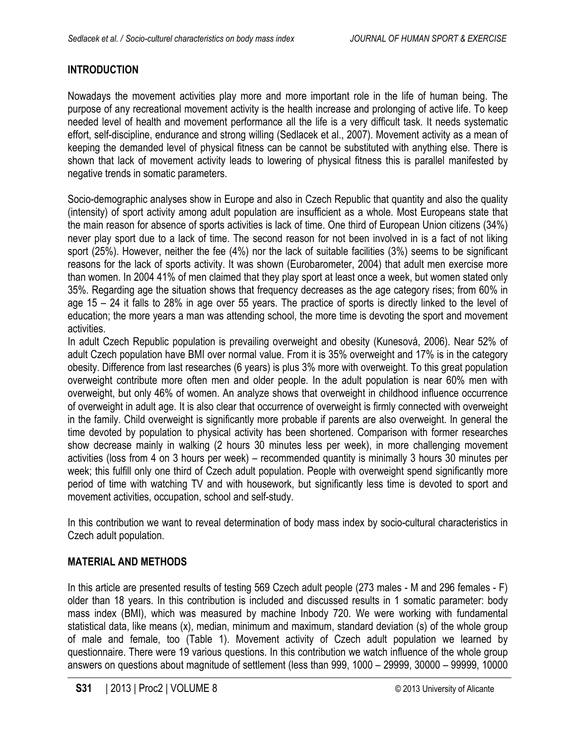# **INTRODUCTION**

Nowadays the movement activities play more and more important role in the life of human being. The purpose of any recreational movement activity is the health increase and prolonging of active life. To keep needed level of health and movement performance all the life is a very difficult task. It needs systematic effort, self-discipline, endurance and strong willing (Sedlacek et al., 2007). Movement activity as a mean of keeping the demanded level of physical fitness can be cannot be substituted with anything else. There is shown that lack of movement activity leads to lowering of physical fitness this is parallel manifested by negative trends in somatic parameters.

Socio-demographic analyses show in Europe and also in Czech Republic that quantity and also the quality (intensity) of sport activity among adult population are insufficient as a whole. Most Europeans state that the main reason for absence of sports activities is lack of time. One third of European Union citizens (34%) never play sport due to a lack of time. The second reason for not been involved in is a fact of not liking sport (25%). However, neither the fee (4%) nor the lack of suitable facilities (3%) seems to be significant reasons for the lack of sports activity. It was shown (Eurobarometer, 2004) that adult men exercise more than women. In 2004 41% of men claimed that they play sport at least once a week, but women stated only 35%. Regarding age the situation shows that frequency decreases as the age category rises; from 60% in age 15 – 24 it falls to 28% in age over 55 years. The practice of sports is directly linked to the level of education; the more years a man was attending school, the more time is devoting the sport and movement activities.

In adult Czech Republic population is prevailing overweight and obesity (Kunesová, 2006). Near 52% of adult Czech population have BMI over normal value. From it is 35% overweight and 17% is in the category obesity. Difference from last researches (6 years) is plus 3% more with overweight. To this great population overweight contribute more often men and older people. In the adult population is near 60% men with overweight, but only 46% of women. An analyze shows that overweight in childhood influence occurrence of overweight in adult age. It is also clear that occurrence of overweight is firmly connected with overweight in the family. Child overweight is significantly more probable if parents are also overweight. In general the time devoted by population to physical activity has been shortened. Comparison with former researches show decrease mainly in walking (2 hours 30 minutes less per week), in more challenging movement activities (loss from 4 on 3 hours per week) – recommended quantity is minimally 3 hours 30 minutes per week; this fulfill only one third of Czech adult population. People with overweight spend significantly more period of time with watching TV and with housework, but significantly less time is devoted to sport and movement activities, occupation, school and self-study.

In this contribution we want to reveal determination of body mass index by socio-cultural characteristics in Czech adult population.

## **MATERIAL AND METHODS**

In this article are presented results of testing 569 Czech adult people (273 males - M and 296 females - F) older than 18 years. In this contribution is included and discussed results in 1 somatic parameter: body mass index (BMI), which was measured by machine Inbody 720. We were working with fundamental statistical data, like means (x), median, minimum and maximum, standard deviation (s) of the whole group of male and female, too (Table 1). Movement activity of Czech adult population we learned by questionnaire. There were 19 various questions. In this contribution we watch influence of the whole group answers on questions about magnitude of settlement (less than 999, 1000 – 29999, 30000 – 99999, 10000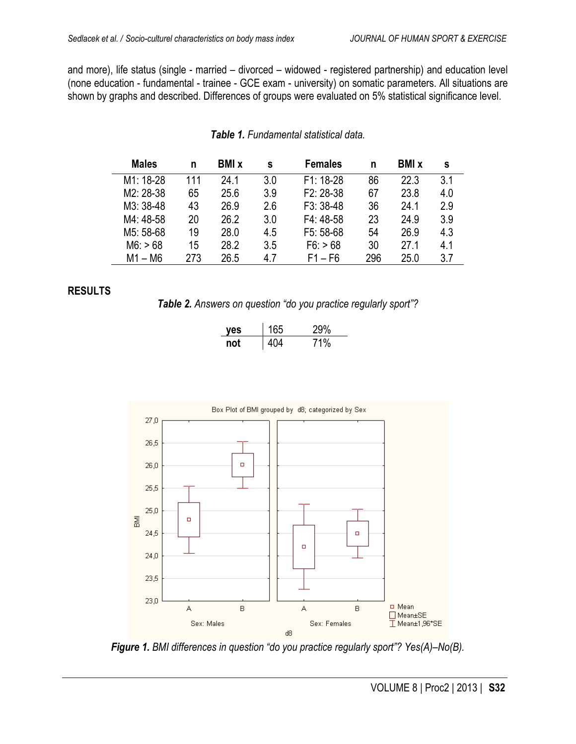and more), life status (single - married – divorced – widowed - registered partnership) and education level (none education - fundamental - trainee - GCE exam - university) on somatic parameters. All situations are shown by graphs and described. Differences of groups were evaluated on 5% statistical significance level.

| <b>Males</b> | n   | <b>BMI</b> x | s   | <b>Females</b> | n   | <b>BMI</b> x | s   |
|--------------|-----|--------------|-----|----------------|-----|--------------|-----|
| M1: 18-28    | 111 | 24 1         | 3.0 | $F1: 18-28$    | 86  | 22.3         | 3.1 |
| M2: 28-38    | 65  | 25.6         | 3.9 | $F2: 28-38$    | 67  | 23.8         | 4.0 |
| M3: 38-48    | 43  | 26.9         | 2.6 | $F3: 38-48$    | 36  | 24.1         | 2.9 |
| M4: 48-58    | 20  | 26.2         | 3.0 | $F4:48-58$     | 23  | 24.9         | 3.9 |
| M5: 58-68    | 19  | 28.0         | 4.5 | $F5: 58-68$    | 54  | 26.9         | 4.3 |
| M6: > 68     | 15  | 28.2         | 3.5 | F6: > 68       | 30  | 27 1         | 4.1 |
| M1 – M6      | 273 | 26.5         | 47  | $F1 - F6$      | 296 | 25.0         | 3.7 |

#### *Table 1. Fundamental statistical data.*

#### **RESULTS**

*Table 2. Answers on question "do you practice regularly sport"?*

| es  | 165 | 29%            |
|-----|-----|----------------|
| nnt | IN4 | $\frac{10}{6}$ |



*Figure 1. BMI differences in question "do you practice regularly sport"? Yes(A)–No(B).*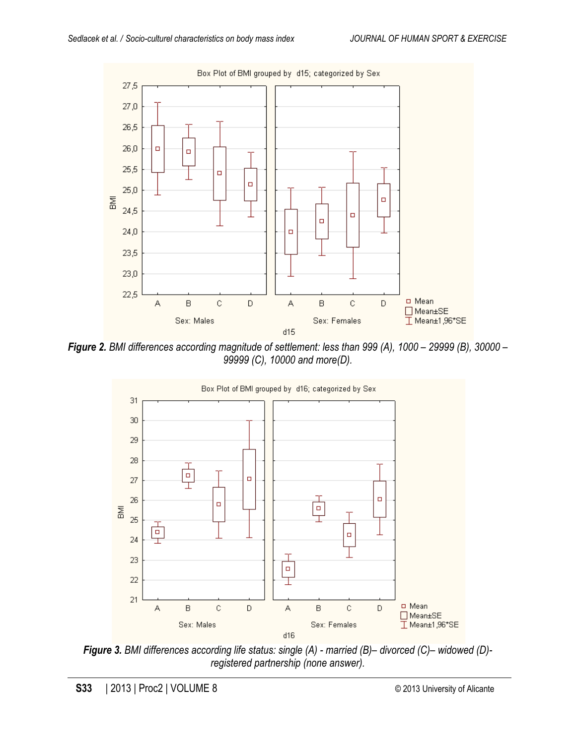

*Figure 2. BMI differences according magnitude of settlement: less than 999 (A), 1000 – 29999 (B), 30000 – 99999 (C), 10000 and more(D).*



*Figure 3. BMI differences according life status: single (A) - married (B)– divorced (C)– widowed (D) registered partnership (none answer).*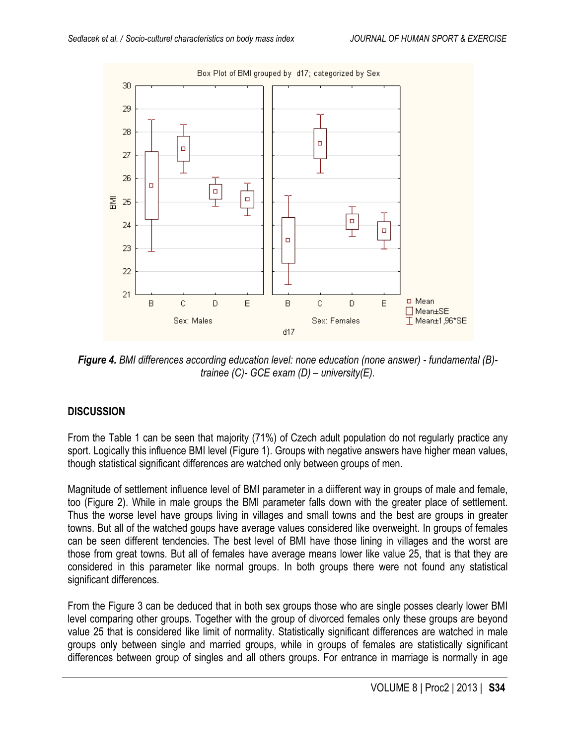

*Figure 4. BMI differences according education level: none education (none answer) - fundamental (B) trainee (C)- GCE exam (D) – university(E).*

## **DISCUSSION**

From the Table 1 can be seen that majority (71%) of Czech adult population do not regularly practice any sport. Logically this influence BMI level (Figure 1). Groups with negative answers have higher mean values, though statistical significant differences are watched only between groups of men.

Magnitude of settlement influence level of BMI parameter in a diifferent way in groups of male and female, too (Figure 2). While in male groups the BMI parameter falls down with the greater place of settlement. Thus the worse level have groups living in villages and small towns and the best are groups in greater towns. But all of the watched goups have average values considered like overweight. In groups of females can be seen different tendencies. The best level of BMI have those lining in villages and the worst are those from great towns. But all of females have average means lower like value 25, that is that they are considered in this parameter like normal groups. In both groups there were not found any statistical significant differences.

From the Figure 3 can be deduced that in both sex groups those who are single posses clearly lower BMI level comparing other groups. Together with the group of divorced females only these groups are beyond value 25 that is considered like limit of normality. Statistically significant differences are watched in male groups only between single and married groups, while in groups of females are statistically significant differences between group of singles and all others groups. For entrance in marriage is normally in age